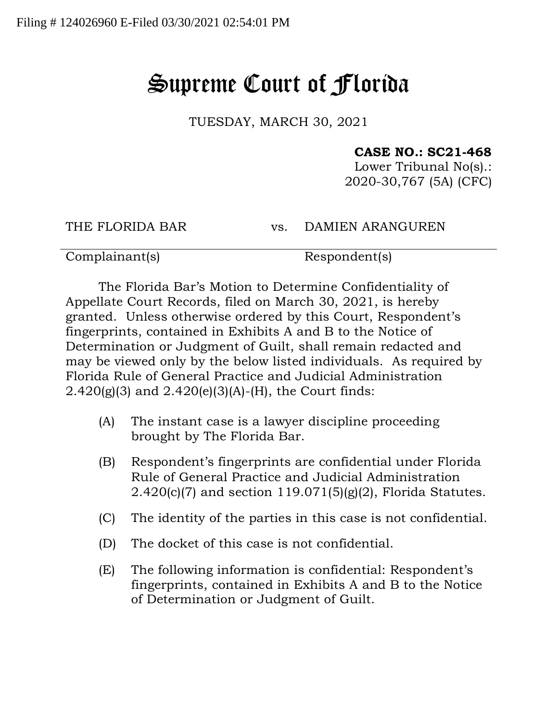## Supreme Court of Florida

TUESDAY, MARCH 30, 2021

## **CASE NO.: SC21-468**

Lower Tribunal No(s).: 2020-30,767 (5A) (CFC)

THE FLORIDA BAR vs. DAMIEN ARANGUREN

Complainant(s) Respondent(s)

The Florida Bar's Motion to Determine Confidentiality of Appellate Court Records, filed on March 30, 2021, is hereby granted. Unless otherwise ordered by this Court, Respondent's fingerprints, contained in Exhibits A and B to the Notice of Determination or Judgment of Guilt, shall remain redacted and may be viewed only by the below listed individuals. As required by Florida Rule of General Practice and Judicial Administration 2.420(g)(3) and 2.420(e)(3)(A)-(H), the Court finds:

- (A) The instant case is a lawyer discipline proceeding brought by The Florida Bar.
- (B) Respondent's fingerprints are confidential under Florida Rule of General Practice and Judicial Administration 2.420(c)(7) and section 119.071(5)(g)(2), Florida Statutes.
- (C) The identity of the parties in this case is not confidential.
- (D) The docket of this case is not confidential.
- (E) The following information is confidential: Respondent's fingerprints, contained in Exhibits A and B to the Notice of Determination or Judgment of Guilt.